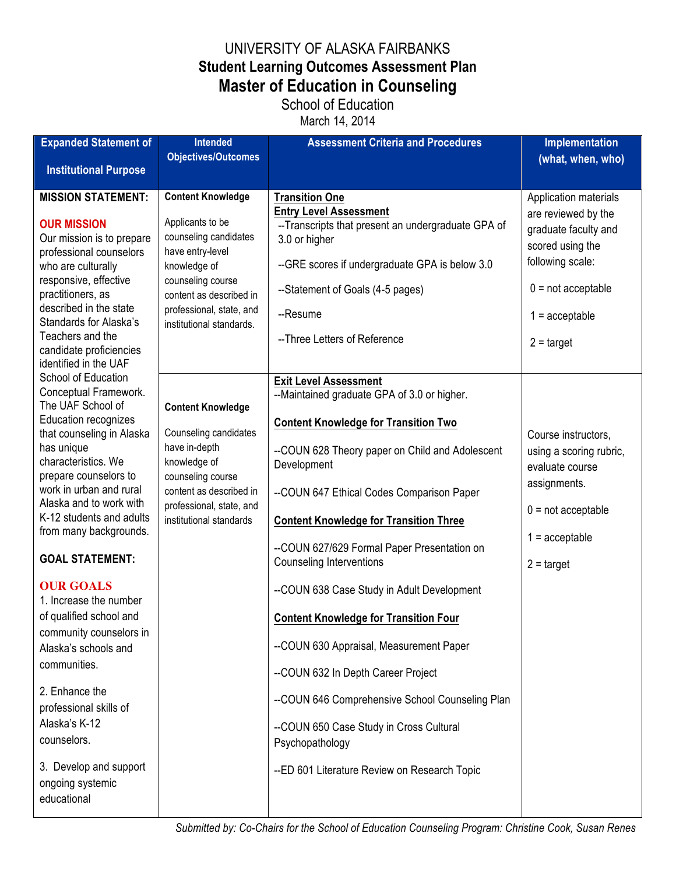## UNIVERSITY OF ALASKA FAIRBANKS **Student Learning Outcomes Assessment Plan Master of Education in Counseling**

## School of Education March 14, 2014

| <b>Expanded Statement of</b>                                                                                                                                                                                                                                                                                                                                                                                                                                                                                                                                                                                                                                                                                                                                                                                                                                                                                                                                                                                                                                                                                                                                                                                                                                                                                                                        | <b>Intended</b>                                                                                                                                                                                     | <b>Assessment Criteria and Procedures</b>                                                                                                                                                                                                                                                                                                                                                                                                                                                                             | Implementation                                                                                                                                                                  |
|-----------------------------------------------------------------------------------------------------------------------------------------------------------------------------------------------------------------------------------------------------------------------------------------------------------------------------------------------------------------------------------------------------------------------------------------------------------------------------------------------------------------------------------------------------------------------------------------------------------------------------------------------------------------------------------------------------------------------------------------------------------------------------------------------------------------------------------------------------------------------------------------------------------------------------------------------------------------------------------------------------------------------------------------------------------------------------------------------------------------------------------------------------------------------------------------------------------------------------------------------------------------------------------------------------------------------------------------------------|-----------------------------------------------------------------------------------------------------------------------------------------------------------------------------------------------------|-----------------------------------------------------------------------------------------------------------------------------------------------------------------------------------------------------------------------------------------------------------------------------------------------------------------------------------------------------------------------------------------------------------------------------------------------------------------------------------------------------------------------|---------------------------------------------------------------------------------------------------------------------------------------------------------------------------------|
| <b>Institutional Purpose</b>                                                                                                                                                                                                                                                                                                                                                                                                                                                                                                                                                                                                                                                                                                                                                                                                                                                                                                                                                                                                                                                                                                                                                                                                                                                                                                                        | <b>Objectives/Outcomes</b>                                                                                                                                                                          |                                                                                                                                                                                                                                                                                                                                                                                                                                                                                                                       | (what, when, who)                                                                                                                                                               |
|                                                                                                                                                                                                                                                                                                                                                                                                                                                                                                                                                                                                                                                                                                                                                                                                                                                                                                                                                                                                                                                                                                                                                                                                                                                                                                                                                     |                                                                                                                                                                                                     |                                                                                                                                                                                                                                                                                                                                                                                                                                                                                                                       |                                                                                                                                                                                 |
| <b>MISSION STATEMENT:</b><br><b>Content Knowledge</b><br>Applicants to be<br><b>OUR MISSION</b><br>counseling candidates<br>Our mission is to prepare<br>have entry-level<br>professional counselors<br>who are culturally<br>knowledge of<br>responsive, effective<br>counseling course<br>practitioners, as<br>content as described in<br>described in the state<br>professional, state, and<br>Standards for Alaska's<br>institutional standards.<br>Teachers and the<br>candidate proficiencies<br>identified in the UAF<br>School of Education<br>Conceptual Framework.<br>The UAF School of<br><b>Content Knowledge</b><br><b>Education recognizes</b><br>Counseling candidates<br>that counseling in Alaska<br>have in-depth<br>has unique<br>characteristics. We<br>knowledge of<br>prepare counselors to<br>counseling course<br>work in urban and rural<br>content as described in<br>Alaska and to work with<br>professional, state, and<br>K-12 students and adults<br>institutional standards<br>from many backgrounds.<br><b>GOAL STATEMENT:</b><br><b>OUR GOALS</b><br>1. Increase the number<br>of qualified school and<br>community counselors in<br>Alaska's schools and<br>communities.<br>2. Enhance the<br>professional skills of<br>Alaska's K-12<br>counselors.<br>3. Develop and support<br>ongoing systemic<br>educational |                                                                                                                                                                                                     | <b>Transition One</b><br><b>Entry Level Assessment</b><br>--Transcripts that present an undergraduate GPA of<br>3.0 or higher<br>--GRE scores if undergraduate GPA is below 3.0<br>--Statement of Goals (4-5 pages)<br>--Resume<br>-- Three Letters of Reference                                                                                                                                                                                                                                                      | Application materials<br>are reviewed by the<br>graduate faculty and<br>scored using the<br>following scale:<br>$0 = not acceptable$<br>$1 =$ acceptable<br>$2 = \text{target}$ |
|                                                                                                                                                                                                                                                                                                                                                                                                                                                                                                                                                                                                                                                                                                                                                                                                                                                                                                                                                                                                                                                                                                                                                                                                                                                                                                                                                     |                                                                                                                                                                                                     | <b>Exit Level Assessment</b><br>--Maintained graduate GPA of 3.0 or higher.<br><b>Content Knowledge for Transition Two</b><br>--COUN 628 Theory paper on Child and Adolescent<br>Development<br>--COUN 647 Ethical Codes Comparison Paper<br><b>Content Knowledge for Transition Three</b><br>--COUN 627/629 Formal Paper Presentation on<br><b>Counseling Interventions</b><br>--COUN 638 Case Study in Adult Development<br><b>Content Knowledge for Transition Four</b><br>--COUN 630 Appraisal, Measurement Paper | Course instructors,<br>using a scoring rubric,<br>evaluate course<br>assignments.<br>$0 = not acceptable$<br>$1 =$ acceptable<br>$2 = \text{target}$                            |
|                                                                                                                                                                                                                                                                                                                                                                                                                                                                                                                                                                                                                                                                                                                                                                                                                                                                                                                                                                                                                                                                                                                                                                                                                                                                                                                                                     | --COUN 632 In Depth Career Project<br>--COUN 646 Comprehensive School Counseling Plan<br>--COUN 650 Case Study in Cross Cultural<br>Psychopathology<br>--ED 601 Literature Review on Research Topic |                                                                                                                                                                                                                                                                                                                                                                                                                                                                                                                       |                                                                                                                                                                                 |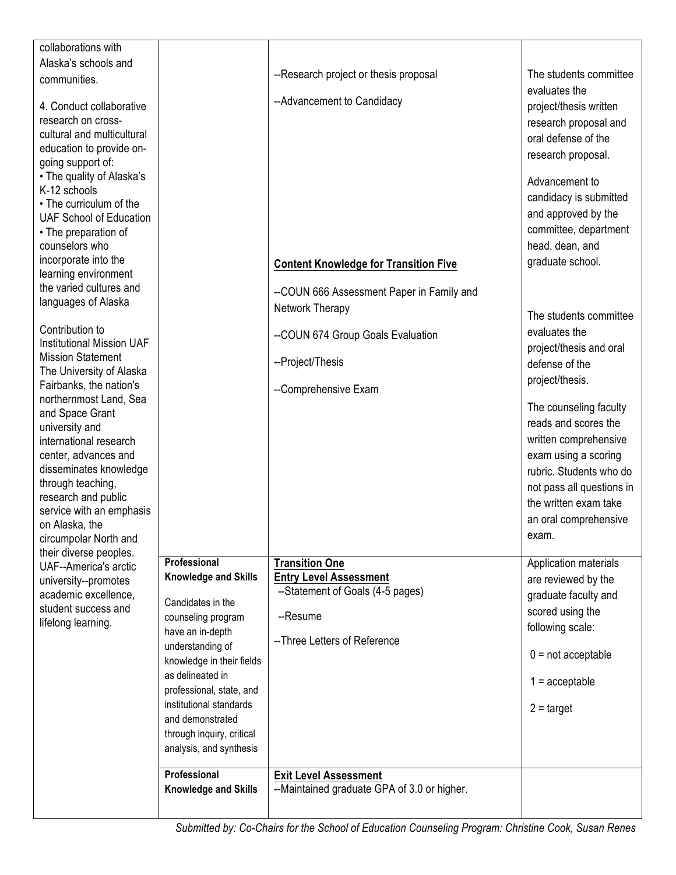| collaborations with                                                                                                                                                                                                                                                                  |                                                      |                                                              |                                                                                                                                                                                                                              |
|--------------------------------------------------------------------------------------------------------------------------------------------------------------------------------------------------------------------------------------------------------------------------------------|------------------------------------------------------|--------------------------------------------------------------|------------------------------------------------------------------------------------------------------------------------------------------------------------------------------------------------------------------------------|
| Alaska's schools and                                                                                                                                                                                                                                                                 |                                                      |                                                              |                                                                                                                                                                                                                              |
| communities.                                                                                                                                                                                                                                                                         |                                                      | --Research project or thesis proposal                        | The students committee                                                                                                                                                                                                       |
| 4. Conduct collaborative<br>research on cross-<br>cultural and multicultural<br>education to provide on-<br>going support of:<br>• The quality of Alaska's<br>K-12 schools<br>• The curriculum of the<br><b>UAF School of Education</b><br>• The preparation of<br>counselors who    |                                                      | --Advancement to Candidacy                                   | evaluates the<br>project/thesis written<br>research proposal and<br>oral defense of the<br>research proposal.<br>Advancement to<br>candidacy is submitted<br>and approved by the<br>committee, department<br>head, dean, and |
| incorporate into the<br>learning environment                                                                                                                                                                                                                                         |                                                      | <b>Content Knowledge for Transition Five</b>                 | graduate school.                                                                                                                                                                                                             |
| the varied cultures and                                                                                                                                                                                                                                                              |                                                      |                                                              |                                                                                                                                                                                                                              |
| languages of Alaska                                                                                                                                                                                                                                                                  |                                                      | --COUN 666 Assessment Paper in Family and<br>Network Therapy |                                                                                                                                                                                                                              |
|                                                                                                                                                                                                                                                                                      |                                                      |                                                              | The students committee                                                                                                                                                                                                       |
| Contribution to<br><b>Institutional Mission UAF</b>                                                                                                                                                                                                                                  |                                                      | --COUN 674 Group Goals Evaluation                            | evaluates the                                                                                                                                                                                                                |
| <b>Mission Statement</b>                                                                                                                                                                                                                                                             |                                                      | --Project/Thesis                                             | project/thesis and oral<br>defense of the                                                                                                                                                                                    |
| The University of Alaska                                                                                                                                                                                                                                                             |                                                      |                                                              | project/thesis.                                                                                                                                                                                                              |
| Fairbanks, the nation's                                                                                                                                                                                                                                                              |                                                      | --Comprehensive Exam                                         |                                                                                                                                                                                                                              |
| northernmost Land, Sea<br>and Space Grant<br>university and<br>international research<br>center, advances and<br>disseminates knowledge<br>through teaching,<br>research and public<br>service with an emphasis<br>on Alaska, the<br>circumpolar North and<br>their diverse peoples. |                                                      |                                                              | The counseling faculty<br>reads and scores the<br>written comprehensive<br>exam using a scoring<br>rubric. Students who do<br>not pass all questions in<br>the written exam take<br>an oral comprehensive<br>exam.           |
| <b>UAF--America's arctic</b>                                                                                                                                                                                                                                                         | Professional<br>Knowledge and Skills                 | <b>Transition One</b><br><b>Entry Level Assessment</b>       | Application materials                                                                                                                                                                                                        |
| university--promotes<br>academic excellence,                                                                                                                                                                                                                                         |                                                      | --Statement of Goals (4-5 pages)                             | are reviewed by the<br>graduate faculty and                                                                                                                                                                                  |
| student success and                                                                                                                                                                                                                                                                  | Candidates in the<br>counseling program              | --Resume                                                     | scored using the                                                                                                                                                                                                             |
| lifelong learning.                                                                                                                                                                                                                                                                   | have an in-depth                                     |                                                              | following scale:                                                                                                                                                                                                             |
|                                                                                                                                                                                                                                                                                      | understanding of                                     | -- Three Letters of Reference                                | $0 = not acceptable$                                                                                                                                                                                                         |
|                                                                                                                                                                                                                                                                                      | knowledge in their fields                            |                                                              |                                                                                                                                                                                                                              |
|                                                                                                                                                                                                                                                                                      | as delineated in<br>professional, state, and         |                                                              | $1 =$ acceptable                                                                                                                                                                                                             |
|                                                                                                                                                                                                                                                                                      | institutional standards                              |                                                              | $2 = \text{target}$                                                                                                                                                                                                          |
|                                                                                                                                                                                                                                                                                      | and demonstrated                                     |                                                              |                                                                                                                                                                                                                              |
|                                                                                                                                                                                                                                                                                      | through inquiry, critical<br>analysis, and synthesis |                                                              |                                                                                                                                                                                                                              |
|                                                                                                                                                                                                                                                                                      | Professional                                         | <b>Exit Level Assessment</b>                                 |                                                                                                                                                                                                                              |
|                                                                                                                                                                                                                                                                                      | <b>Knowledge and Skills</b>                          | --Maintained graduate GPA of 3.0 or higher.                  |                                                                                                                                                                                                                              |
|                                                                                                                                                                                                                                                                                      |                                                      |                                                              |                                                                                                                                                                                                                              |

*Submitted by: Co-Chairs for the School of Education Counseling Program: Christine Cook, Susan Renes*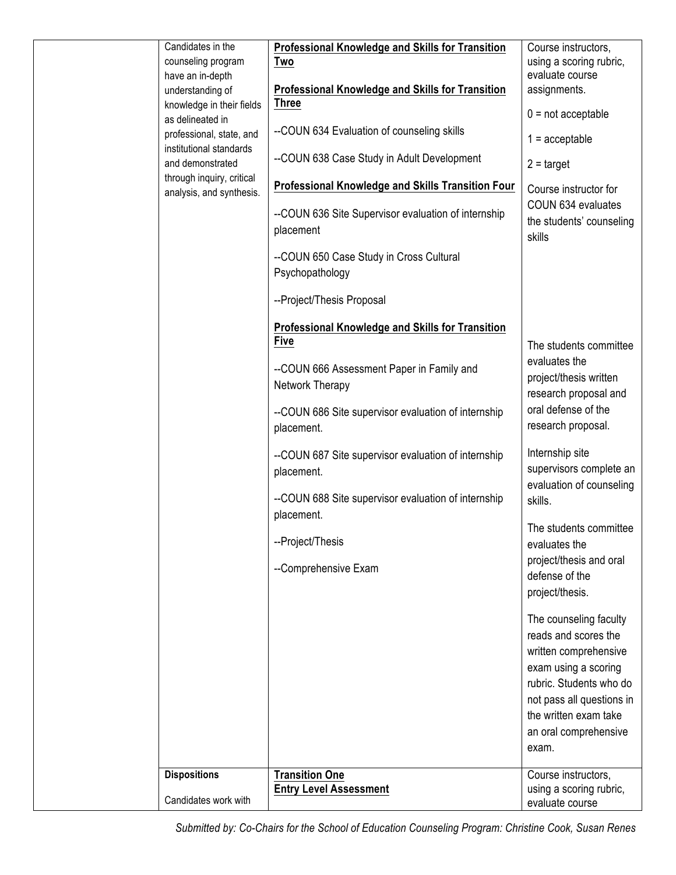| Candidates in the<br>counseling program<br>have an in-depth<br>understanding of<br>knowledge in their fields<br>as delineated in<br>professional, state, and<br>institutional standards<br>and demonstrated<br>through inquiry, critical<br>analysis, and synthesis. | <b>Professional Knowledge and Skills for Transition</b><br>Two<br><b>Professional Knowledge and Skills for Transition</b><br><b>Three</b><br>--COUN 634 Evaluation of counseling skills<br>--COUN 638 Case Study in Adult Development<br><b>Professional Knowledge and Skills Transition Four</b><br>--COUN 636 Site Supervisor evaluation of internship<br>placement<br>--COUN 650 Case Study in Cross Cultural<br>Psychopathology | Course instructors,<br>using a scoring rubric,<br>evaluate course<br>assignments.<br>$0 = not acceptable$<br>$1 =$ acceptable<br>$2 = \text{target}$<br>Course instructor for<br>COUN 634 evaluates<br>the students' counseling<br>skills                                                                                                                                                                                                                                                                                                                     |
|----------------------------------------------------------------------------------------------------------------------------------------------------------------------------------------------------------------------------------------------------------------------|-------------------------------------------------------------------------------------------------------------------------------------------------------------------------------------------------------------------------------------------------------------------------------------------------------------------------------------------------------------------------------------------------------------------------------------|---------------------------------------------------------------------------------------------------------------------------------------------------------------------------------------------------------------------------------------------------------------------------------------------------------------------------------------------------------------------------------------------------------------------------------------------------------------------------------------------------------------------------------------------------------------|
|                                                                                                                                                                                                                                                                      | --Project/Thesis Proposal<br><b>Professional Knowledge and Skills for Transition</b><br><b>Five</b><br>--COUN 666 Assessment Paper in Family and<br>Network Therapy<br>--COUN 686 Site supervisor evaluation of internship<br>placement.<br>--COUN 687 Site supervisor evaluation of internship<br>placement.<br>--COUN 688 Site supervisor evaluation of internship<br>placement.<br>--Project/Thesis<br>--Comprehensive Exam      | The students committee<br>evaluates the<br>project/thesis written<br>research proposal and<br>oral defense of the<br>research proposal.<br>Internship site<br>supervisors complete an<br>evaluation of counseling<br>skills.<br>The students committee<br>evaluates the<br>project/thesis and oral<br>defense of the<br>project/thesis.<br>The counseling faculty<br>reads and scores the<br>written comprehensive<br>exam using a scoring<br>rubric. Students who do<br>not pass all questions in<br>the written exam take<br>an oral comprehensive<br>exam. |
| <b>Dispositions</b><br>Candidates work with                                                                                                                                                                                                                          | <b>Transition One</b><br><b>Entry Level Assessment</b>                                                                                                                                                                                                                                                                                                                                                                              | Course instructors,<br>using a scoring rubric,<br>evaluate course                                                                                                                                                                                                                                                                                                                                                                                                                                                                                             |

*Submitted by: Co-Chairs for the School of Education Counseling Program: Christine Cook, Susan Renes*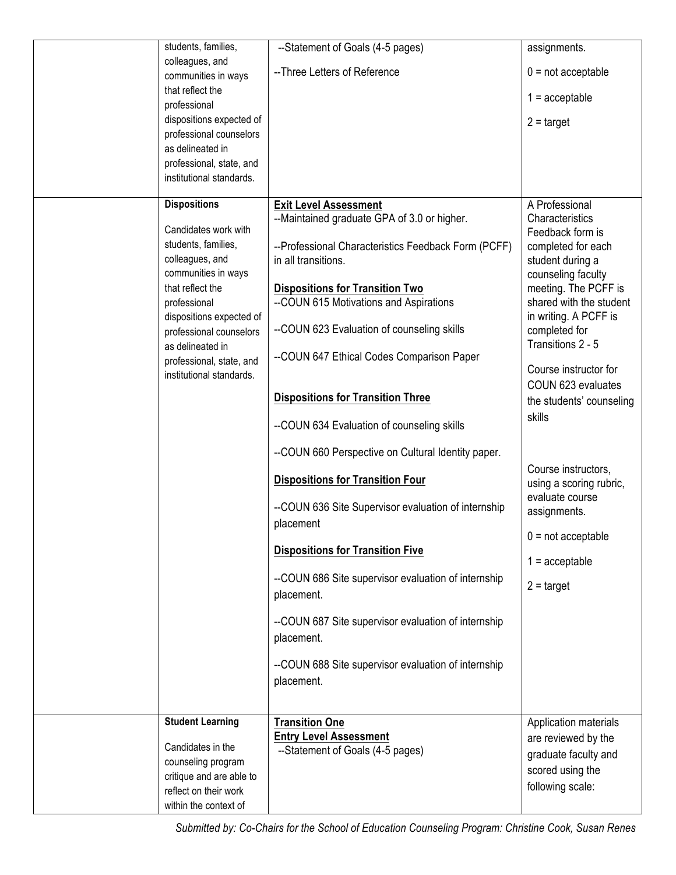| students, families,                                  | --Statement of Goals (4-5 pages)                                  | assignments.                                   |
|------------------------------------------------------|-------------------------------------------------------------------|------------------------------------------------|
| colleagues, and                                      | -- Three Letters of Reference                                     | $0 = not acceptable$                           |
| communities in ways<br>that reflect the              |                                                                   |                                                |
| professional                                         |                                                                   | $1 =$ acceptable                               |
| dispositions expected of                             |                                                                   | $2 = \text{target}$                            |
| professional counselors                              |                                                                   |                                                |
| as delineated in                                     |                                                                   |                                                |
| professional, state, and<br>institutional standards. |                                                                   |                                                |
|                                                      |                                                                   |                                                |
| <b>Dispositions</b>                                  | <b>Exit Level Assessment</b>                                      | A Professional                                 |
| Candidates work with                                 | --Maintained graduate GPA of 3.0 or higher.                       | Characteristics                                |
| students, families,                                  | --Professional Characteristics Feedback Form (PCFF)               | Feedback form is<br>completed for each         |
| colleagues, and                                      | in all transitions.                                               | student during a                               |
| communities in ways                                  |                                                                   | counseling faculty                             |
| that reflect the                                     | <b>Dispositions for Transition Two</b>                            | meeting. The PCFF is                           |
| professional                                         | --COUN 615 Motivations and Aspirations                            | shared with the student                        |
| dispositions expected of<br>professional counselors  | --COUN 623 Evaluation of counseling skills                        | in writing. A PCFF is<br>completed for         |
| as delineated in                                     |                                                                   | Transitions 2 - 5                              |
| professional, state, and                             | --COUN 647 Ethical Codes Comparison Paper                         |                                                |
| institutional standards.                             |                                                                   | Course instructor for                          |
|                                                      | <b>Dispositions for Transition Three</b>                          | COUN 623 evaluates                             |
|                                                      |                                                                   | the students' counseling<br>skills             |
|                                                      | --COUN 634 Evaluation of counseling skills                        |                                                |
|                                                      | --COUN 660 Perspective on Cultural Identity paper.                |                                                |
|                                                      | <b>Dispositions for Transition Four</b>                           | Course instructors,<br>using a scoring rubric, |
|                                                      | --COUN 636 Site Supervisor evaluation of internship               | evaluate course                                |
|                                                      | placement                                                         | assignments.                                   |
|                                                      |                                                                   | $0 = not acceptable$                           |
|                                                      | <b>Dispositions for Transition Five</b>                           |                                                |
|                                                      |                                                                   | $1 =$ acceptable                               |
|                                                      | --COUN 686 Site supervisor evaluation of internship<br>placement. | $2 = \text{target}$                            |
|                                                      |                                                                   |                                                |
|                                                      | --COUN 687 Site supervisor evaluation of internship               |                                                |
|                                                      | placement.                                                        |                                                |
|                                                      | --COUN 688 Site supervisor evaluation of internship               |                                                |
|                                                      | placement.                                                        |                                                |
|                                                      |                                                                   |                                                |
| <b>Student Learning</b>                              | <b>Transition One</b>                                             | Application materials                          |
|                                                      | <b>Entry Level Assessment</b>                                     | are reviewed by the                            |
| Candidates in the                                    | --Statement of Goals (4-5 pages)                                  | graduate faculty and                           |
| counseling program                                   |                                                                   | scored using the                               |
| critique and are able to<br>reflect on their work    |                                                                   | following scale:                               |
| within the context of                                |                                                                   |                                                |
|                                                      |                                                                   |                                                |

*Submitted by: Co-Chairs for the School of Education Counseling Program: Christine Cook, Susan Renes*